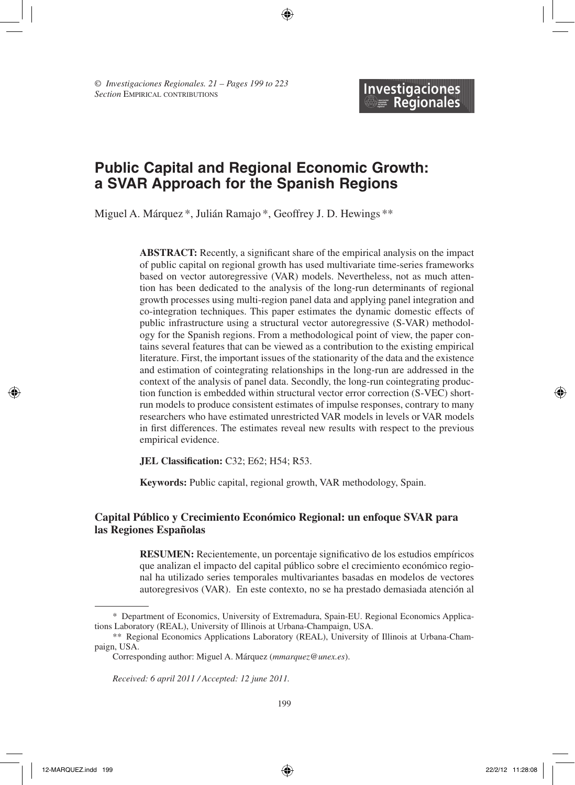# **Public Capital and Regional Economic Growth: a SVAR Approach for the Spanish Regions**

Miguel A. Márquez \*, Julián Ramajo \*, Geoffrey J. D. Hewings \*\*

**ABSTRACT:** Recently, a significant share of the empirical analysis on the impact of public capital on regional growth has used multivariate time-series frameworks based on vector autoregressive (VAR) models. Nevertheless, not as much attention has been dedicated to the analysis of the long-run determinants of regional growth processes using multi-region panel data and applying panel integration and co-integration techniques. This paper estimates the dynamic domestic effects of public infrastructure using a structural vector autoregressive (S-VAR) methodology for the Spanish regions. From a methodological point of view, the paper contains several features that can be viewed as a contribution to the existing empirical literature. First, the important issues of the stationarity of the data and the existence and estimation of cointegrating relationships in the long-run are addressed in the context of the analysis of panel data. Secondly, the long-run cointegrating production function is embedded within structural vector error correction (S-VEC) shortrun models to produce consistent estimates of impulse responses, contrary to many researchers who have estimated unrestricted VAR models in levels or VAR models in first differences. The estimates reveal new results with respect to the previous empirical evidence.

**JEL Classification:** C32; E62; H54; R53.

**Keywords:** Public capital, regional growth, VAR methodology, Spain.

#### **Capital Público y Crecimiento Económico Regional: un enfoque SVAR para las Regiones Españolas**

**RESUMEN:** Recientemente, un porcentaje significativo de los estudios empíricos que analizan el impacto del capital público sobre el crecimiento económico regional ha utilizado series temporales multivariantes basadas en modelos de vectores autoregresivos (VAR). En este contexto, no se ha prestado demasiada atención al

*Received: 6 april 2011 / Accepted: 12 june 2011.*

<sup>\*</sup> Department of Economics, University of Extremadura, Spain-EU. Regional Economics Applications Laboratory (REAL), University of Illinois at Urbana-Champaign, USA.

<sup>\*\*</sup> Regional Economics Applications Laboratory (REAL), University of Illinois at Urbana-Champaign, USA.

Corresponding author: Miguel A. Márquez (*mmarquez@unex.es*).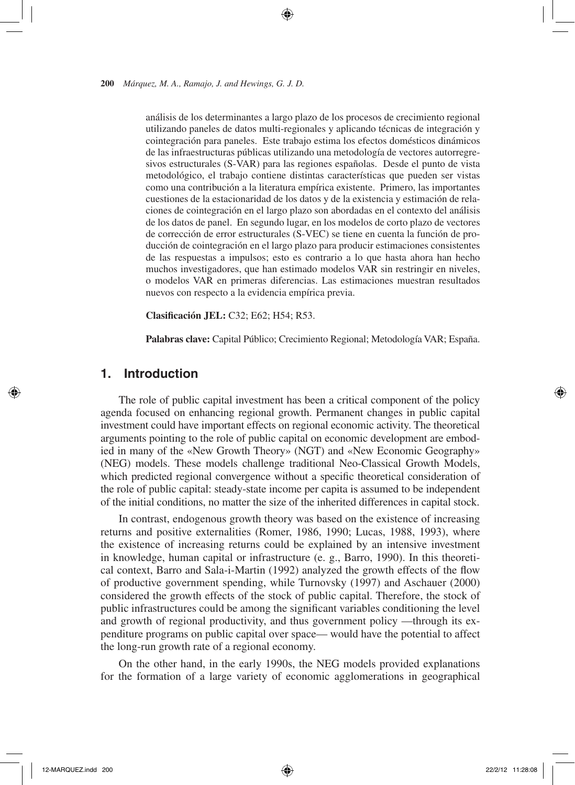análisis de los determinantes a largo plazo de los procesos de crecimiento regional utilizando paneles de datos multi-regionales y aplicando técnicas de integración y cointegración para paneles. Este trabajo estima los efectos domésticos dinámicos de las infraestructuras públicas utilizando una metodología de vectores autorregresivos estructurales (S-VAR) para las regiones españolas. Desde el punto de vista metodológico, el trabajo contiene distintas características que pueden ser vistas como una contribución a la literatura empírica existente. Primero, las importantes cuestiones de la estacionaridad de los datos y de la existencia y estimación de relaciones de cointegración en el largo plazo son abordadas en el contexto del análisis de los datos de panel. En segundo lugar, en los modelos de corto plazo de vectores de corrección de error estructurales (S-VEC) se tiene en cuenta la función de producción de cointegración en el largo plazo para producir estimaciones consistentes de las respuestas a impulsos; esto es contrario a lo que hasta ahora han hecho muchos investigadores, que han estimado modelos VAR sin restringir en niveles, o modelos VAR en primeras diferencias. Las estimaciones muestran resultados nuevos con respecto a la evidencia empírica previa.

**Clasificación JEL:** C32; E62; H54; R53.

**Palabras clave:** Capital Público; Crecimiento Regional; Metodología VAR; España.

# **1. Introduction**

The role of public capital investment has been a critical component of the policy agenda focused on enhancing regional growth. Permanent changes in public capital investment could have important effects on regional economic activity. The theoretical arguments pointing to the role of public capital on economic development are embodied in many of the «New Growth Theory» (NGT) and «New Economic Geography» (NEG) models. These models challenge traditional Neo-Classical Growth Models, which predicted regional convergence without a specific theoretical consideration of the role of public capital: steady-state income per capita is assumed to be independent of the initial conditions, no matter the size of the inherited differences in capital stock.

In contrast, endogenous growth theory was based on the existence of increasing returns and positive externalities (Romer, 1986, 1990; Lucas, 1988, 1993), where the existence of increasing returns could be explained by an intensive investment in knowledge, human capital or infrastructure (e. g., Barro, 1990). In this theoretical context, Barro and Sala-i-Martin (1992) analyzed the growth effects of the flow of productive government spending, while Turnovsky (1997) and Aschauer (2000) considered the growth effects of the stock of public capital. Therefore, the stock of public infrastructures could be among the significant variables conditioning the level and growth of regional productivity, and thus government policy —through its expenditure programs on public capital over space— would have the potential to affect the long-run growth rate of a regional economy.

On the other hand, in the early 1990s, the NEG models provided explanations for the formation of a large variety of economic agglomerations in geographical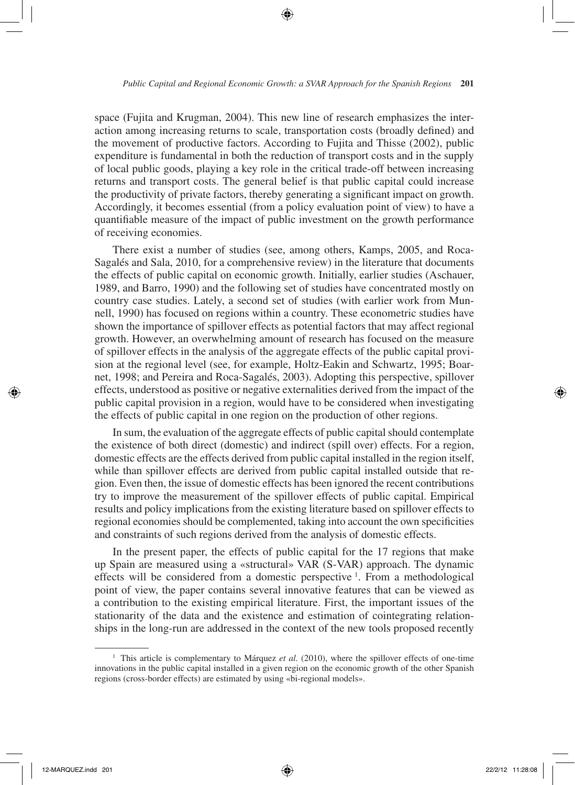space (Fujita and Krugman, 2004). This new line of research emphasizes the interaction among increasing returns to scale, transportation costs (broadly defined) and the movement of productive factors. According to Fujita and Thisse (2002), public expenditure is fundamental in both the reduction of transport costs and in the supply of local public goods, playing a key role in the critical trade-off between increasing returns and transport costs. The general belief is that public capital could increase the productivity of private factors, thereby generating a significant impact on growth. Accordingly, it becomes essential (from a policy evaluation point of view) to have a quantifiable measure of the impact of public investment on the growth performance of receiving economies.

There exist a number of studies (see, among others, Kamps, 2005, and Roca-Sagalés and Sala, 2010, for a comprehensive review) in the literature that documents the effects of public capital on economic growth. Initially, earlier studies (Aschauer, 1989, and Barro, 1990) and the following set of studies have concentrated mostly on country case studies. Lately, a second set of studies (with earlier work from Munnell, 1990) has focused on regions within a country. These econometric studies have shown the importance of spillover effects as potential factors that may affect regional growth. However, an overwhelming amount of research has focused on the measure of spillover effects in the analysis of the aggregate effects of the public capital provision at the regional level (see, for example, Holtz-Eakin and Schwartz, 1995; Boarnet, 1998; and Pereira and Roca-Sagalés, 2003). Adopting this perspective, spillover effects, understood as positive or negative externalities derived from the impact of the public capital provision in a region, would have to be considered when investigating the effects of public capital in one region on the production of other regions.

In sum, the evaluation of the aggregate effects of public capital should contemplate the existence of both direct (domestic) and indirect (spill over) effects. For a region, domestic effects are the effects derived from public capital installed in the region itself, while than spillover effects are derived from public capital installed outside that region. Even then, the issue of domestic effects has been ignored the recent contributions try to improve the measurement of the spillover effects of public capital. Empirical results and policy implications from the existing literature based on spillover effects to regional economies should be complemented, taking into account the own specificities and constraints of such regions derived from the analysis of domestic effects.

In the present paper, the effects of public capital for the 17 regions that make up Spain are measured using a «structural» VAR (S-VAR) approach. The dynamic effects will be considered from a domestic perspective <sup>1</sup>. From a methodological point of view, the paper contains several innovative features that can be viewed as a contribution to the existing empirical literature. First, the important issues of the stationarity of the data and the existence and estimation of cointegrating relationships in the long-run are addressed in the context of the new tools proposed recently

<sup>&</sup>lt;sup>1</sup> This article is complementary to Márquez *et al.* (2010), where the spillover effects of one-time innovations in the public capital installed in a given region on the economic growth of the other Spanish regions (cross-border effects) are estimated by using «bi-regional models».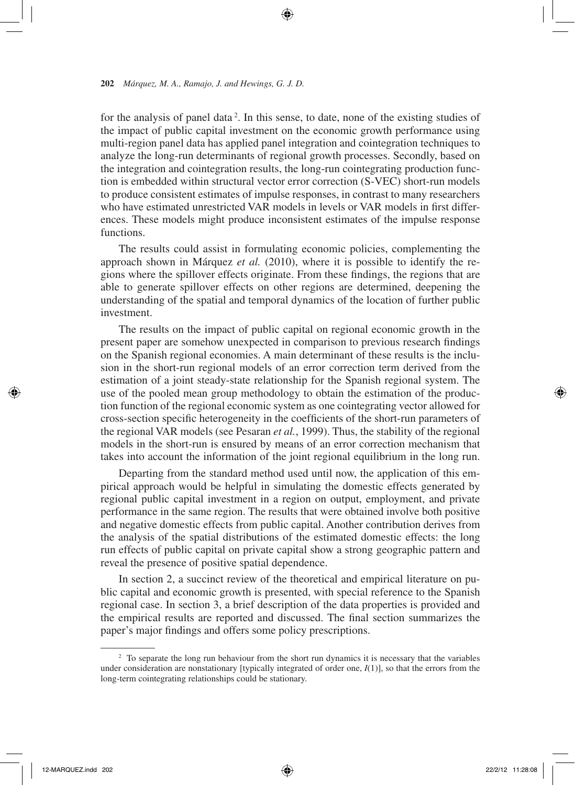for the analysis of panel data<sup>2</sup>. In this sense, to date, none of the existing studies of the impact of public capital investment on the economic growth performance using multi-region panel data has applied panel integration and cointegration techniques to analyze the long-run determinants of regional growth processes. Secondly, based on the integration and cointegration results, the long-run cointegrating production function is embedded within structural vector error correction (S-VEC) short-run models to produce consistent estimates of impulse responses, in contrast to many researchers who have estimated unrestricted VAR models in levels or VAR models in first differences. These models might produce inconsistent estimates of the impulse response functions.

The results could assist in formulating economic policies, complementing the approach shown in Márquez *et al.* (2010), where it is possible to identify the regions where the spillover effects originate. From these findings, the regions that are able to generate spillover effects on other regions are determined, deepening the understanding of the spatial and temporal dynamics of the location of further public investment.

The results on the impact of public capital on regional economic growth in the present paper are somehow unexpected in comparison to previous research findings on the Spanish regional economies. A main determinant of these results is the inclusion in the short-run regional models of an error correction term derived from the estimation of a joint steady-state relationship for the Spanish regional system. The use of the pooled mean group methodology to obtain the estimation of the production function of the regional economic system as one cointegrating vector allowed for cross-section specific heterogeneity in the coefficients of the short-run parameters of the regional VAR models (see Pesaran *et al.*, 1999). Thus, the stability of the regional models in the short-run is ensured by means of an error correction mechanism that takes into account the information of the joint regional equilibrium in the long run.

Departing from the standard method used until now, the application of this empirical approach would be helpful in simulating the domestic effects generated by regional public capital investment in a region on output, employment, and private performance in the same region. The results that were obtained involve both positive and negative domestic effects from public capital. Another contribution derives from the analysis of the spatial distributions of the estimated domestic effects: the long run effects of public capital on private capital show a strong geographic pattern and reveal the presence of positive spatial dependence.

In section 2, a succinct review of the theoretical and empirical literature on public capital and economic growth is presented, with special reference to the Spanish regional case. In section 3, a brief description of the data properties is provided and the empirical results are reported and discussed. The final section summarizes the paper's major findings and offers some policy prescriptions.

<sup>&</sup>lt;sup>2</sup> To separate the long run behaviour from the short run dynamics it is necessary that the variables under consideration are nonstationary [typically integrated of order one, *I*(1)], so that the errors from the long-term cointegrating relationships could be stationary.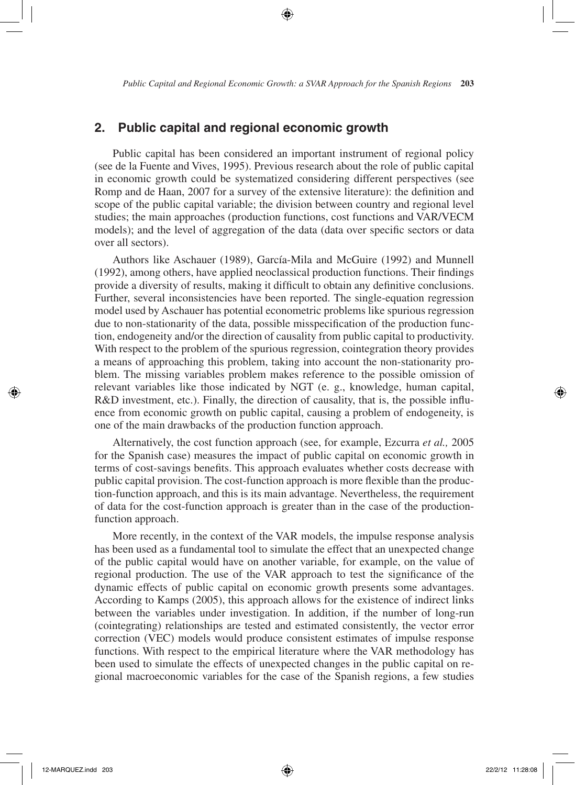# **2. Public capital and regional economic growth**

Public capital has been considered an important instrument of regional policy (see de la Fuente and Vives, 1995). Previous research about the role of public capital in economic growth could be systematized considering different perspectives (see Romp and de Haan, 2007 for a survey of the extensive literature): the definition and scope of the public capital variable; the division between country and regional level studies; the main approaches (production functions, cost functions and VAR/VECM models); and the level of aggregation of the data (data over specific sectors or data over all sectors).

Authors like Aschauer (1989), García-Mila and McGuire (1992) and Munnell (1992), among others, have applied neoclassical production functions. Their findings provide a diversity of results, making it difficult to obtain any definitive conclusions. Further, several inconsistencies have been reported. The single-equation regression model used by Aschauer has potential econometric problems like spurious regression due to non-stationarity of the data, possible misspecification of the production function, endogeneity and/or the direction of causality from public capital to productivity. With respect to the problem of the spurious regression, cointegration theory provides a means of approaching this problem, taking into account the non-stationarity problem. The missing variables problem makes reference to the possible omission of relevant variables like those indicated by NGT (e. g., knowledge, human capital, R&D investment, etc.). Finally, the direction of causality, that is, the possible influence from economic growth on public capital, causing a problem of endogeneity, is one of the main drawbacks of the production function approach.

Alternatively, the cost function approach (see, for example, Ezcurra *et al.,* 2005 for the Spanish case) measures the impact of public capital on economic growth in terms of cost-savings benefits. This approach evaluates whether costs decrease with public capital provision. The cost-function approach is more flexible than the production-function approach, and this is its main advantage. Nevertheless, the requirement of data for the cost-function approach is greater than in the case of the productionfunction approach.

More recently, in the context of the VAR models, the impulse response analysis has been used as a fundamental tool to simulate the effect that an unexpected change of the public capital would have on another variable, for example, on the value of regional production. The use of the VAR approach to test the significance of the dynamic effects of public capital on economic growth presents some advantages. According to Kamps (2005), this approach allows for the existence of indirect links between the variables under investigation. In addition, if the number of long-run (cointegrating) relationships are tested and estimated consistently, the vector error correction (VEC) models would produce consistent estimates of impulse response functions. With respect to the empirical literature where the VAR methodology has been used to simulate the effects of unexpected changes in the public capital on regional macroeconomic variables for the case of the Spanish regions, a few studies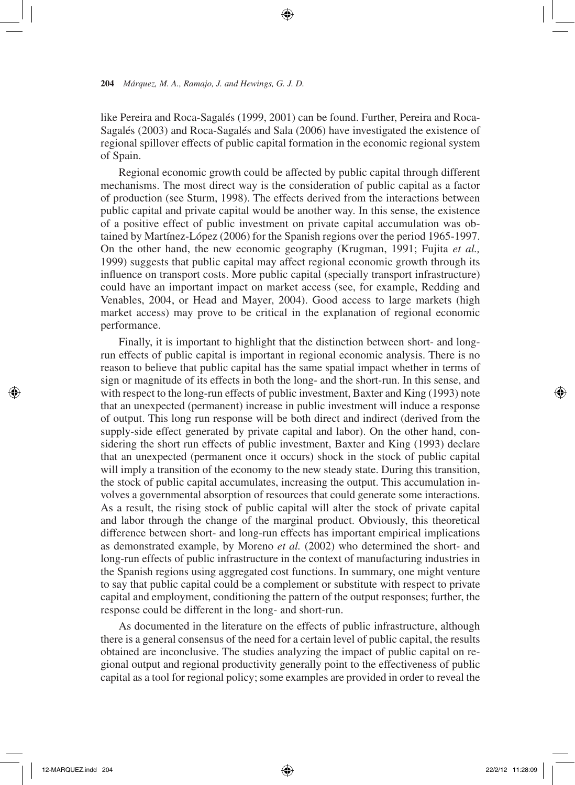like Pereira and Roca-Sagalés (1999, 2001) can be found. Further, Pereira and Roca-Sagalés (2003) and Roca-Sagalés and Sala (2006) have investigated the existence of regional spillover effects of public capital formation in the economic regional system of Spain.

Regional economic growth could be affected by public capital through different mechanisms. The most direct way is the consideration of public capital as a factor of production (see Sturm, 1998). The effects derived from the interactions between public capital and private capital would be another way. In this sense, the existence of a positive effect of public investment on private capital accumulation was obtained by Martínez-López (2006) for the Spanish regions over the period 1965-1997. On the other hand, the new economic geography (Krugman, 1991; Fujita *et al.,* 1999) suggests that public capital may affect regional economic growth through its influence on transport costs. More public capital (specially transport infrastructure) could have an important impact on market access (see, for example, Redding and Venables, 2004, or Head and Mayer, 2004). Good access to large markets (high market access) may prove to be critical in the explanation of regional economic performance.

Finally, it is important to highlight that the distinction between short- and longrun effects of public capital is important in regional economic analysis. There is no reason to believe that public capital has the same spatial impact whether in terms of sign or magnitude of its effects in both the long- and the short-run. In this sense, and with respect to the long-run effects of public investment, Baxter and King (1993) note that an unexpected (permanent) increase in public investment will induce a response of output. This long run response will be both direct and indirect (derived from the supply-side effect generated by private capital and labor). On the other hand, considering the short run effects of public investment, Baxter and King (1993) declare that an unexpected (permanent once it occurs) shock in the stock of public capital will imply a transition of the economy to the new steady state. During this transition, the stock of public capital accumulates, increasing the output. This accumulation involves a governmental absorption of resources that could generate some interactions. As a result, the rising stock of public capital will alter the stock of private capital and labor through the change of the marginal product. Obviously, this theoretical difference between short- and long-run effects has important empirical implications as demonstrated example, by Moreno *et al.* (2002) who determined the short- and long-run effects of public infrastructure in the context of manufacturing industries in the Spanish regions using aggregated cost functions. In summary, one might venture to say that public capital could be a complement or substitute with respect to private capital and employment, conditioning the pattern of the output responses; further, the response could be different in the long- and short-run.

As documented in the literature on the effects of public infrastructure, although there is a general consensus of the need for a certain level of public capital, the results obtained are inconclusive. The studies analyzing the impact of public capital on regional output and regional productivity generally point to the effectiveness of public capital as a tool for regional policy; some examples are provided in order to reveal the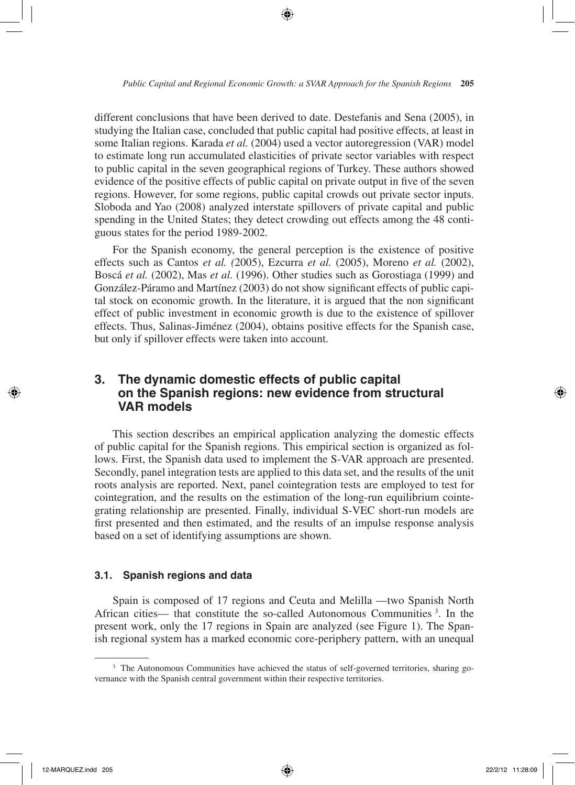different conclusions that have been derived to date. Destefanis and Sena (2005), in studying the Italian case, concluded that public capital had positive effects, at least in some Italian regions. Karada *et al.* (2004) used a vector autoregression (VAR) model to estimate long run accumulated elasticities of private sector variables with respect to public capital in the seven geographical regions of Turkey. These authors showed evidence of the positive effects of public capital on private output in five of the seven regions. However, for some regions, public capital crowds out private sector inputs. Sloboda and Yao (2008) analyzed interstate spillovers of private capital and public spending in the United States; they detect crowding out effects among the 48 contiguous states for the period 1989-2002.

For the Spanish economy, the general perception is the existence of positive effects such as Cantos *et al. (*2005), Ezcurra *et al.* (2005), Moreno *et al.* (2002), Boscá *et al.* (2002), Mas *et al.* (1996). Other studies such as Gorostiaga (1999) and González-Páramo and Martínez (2003) do not show significant effects of public capital stock on economic growth. In the literature, it is argued that the non significant effect of public investment in economic growth is due to the existence of spillover effects. Thus, Salinas-Jiménez (2004), obtains positive effects for the Spanish case, but only if spillover effects were taken into account.

# **3. The dynamic domestic effects of public capital on the Spanish regions: new evidence from structural VAR** models

This section describes an empirical application analyzing the domestic effects of public capital for the Spanish regions. This empirical section is organized as follows. First, the Spanish data used to implement the S-VAR approach are presented. Secondly, panel integration tests are applied to this data set, and the results of the unit roots analysis are reported. Next, panel cointegration tests are employed to test for cointegration, and the results on the estimation of the long-run equilibrium cointegrating relationship are presented. Finally, individual S-VEC short-run models are first presented and then estimated, and the results of an impulse response analysis based on a set of identifying assumptions are shown.

#### **3.1. Spanish regions and data**

Spain is composed of 17 regions and Ceuta and Melilla —two Spanish North African cities— that constitute the so-called Autonomous Communities <sup>3</sup> . In the present work, only the 17 regions in Spain are analyzed (see Figure 1). The Spanish regional system has a marked economic core-periphery pattern, with an unequal

<sup>&</sup>lt;sup>3</sup> The Autonomous Communities have achieved the status of self-governed territories, sharing governance with the Spanish central government within their respective territories.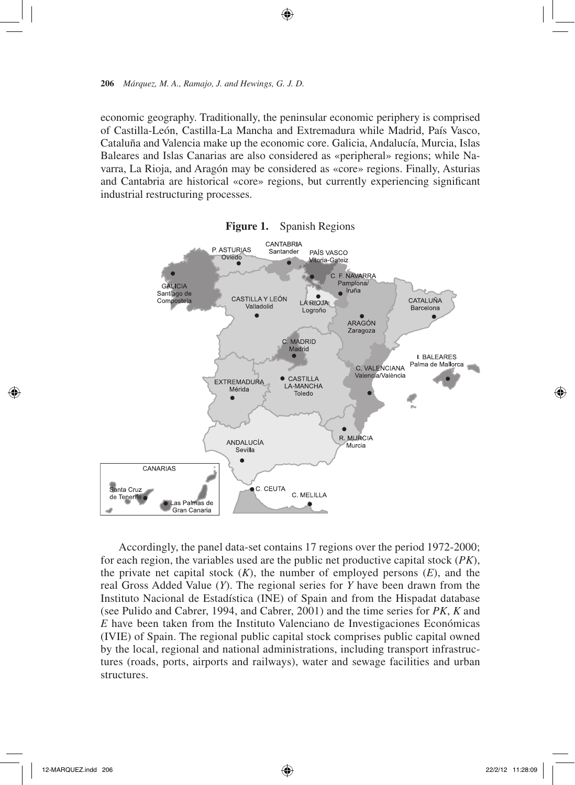economic geography. Traditionally, the peninsular economic periphery is comprised of Castilla-León, Castilla-La Mancha and Extremadura while Madrid, País Vasco, Cataluña and Valencia make up the economic core. Galicia, Andalucía, Murcia, Islas Baleares and Islas Canarias are also considered as «peripheral» regions; while Navarra, La Rioja, and Aragón may be considered as «core» regions. Finally, Asturias and Cantabria are historical «core» regions, but currently experiencing significant industrial restructuring processes.





Accordingly, the panel data-set contains 17 regions over the period 1972-2000; for each region, the variables used are the public net productive capital stock (*PK*), the private net capital stock  $(K)$ , the number of employed persons  $(E)$ , and the real Gross Added Value (*Y*). The regional series for *Y* have been drawn from the Instituto Nacional de Estadística (INE) of Spain and from the Hispadat database (see Pulido and Cabrer, 1994, and Cabrer, 2001) and the time series for *PK*, *K* and *E* have been taken from the Instituto Valenciano de Investigaciones Económicas (IVIE) of Spain. The regional public capital stock comprises public capital owned by the local, regional and national administrations, including transport infrastructures (roads, ports, airports and railways), water and sewage facilities and urban structures.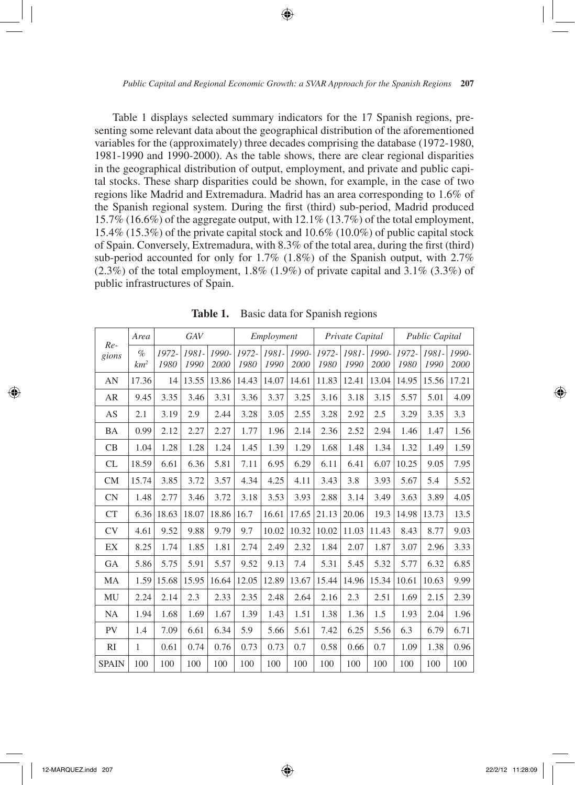Table 1 displays selected summary indicators for the 17 Spanish regions, presenting some relevant data about the geographical distribution of the aforementioned variables for the (approximately) three decades comprising the database (1972-1980, 1981-1990 and 1990-2000). As the table shows, there are clear regional disparities in the geographical distribution of output, employment, and private and public capital stocks. These sharp disparities could be shown, for example, in the case of two regions like Madrid and Extremadura. Madrid has an area corresponding to 1.6% of the Spanish regional system. During the first (third) sub-period, Madrid produced 15.7% (16.6%) of the aggregate output, with  $12.1\%$  (13.7%) of the total employment, 15.4% (15.3%) of the private capital stock and 10.6% (10.0%) of public capital stock of Spain. Conversely, Extremadura, with 8.3% of the total area, during the first (third) sub-period accounted for only for 1.7% (1.8%) of the Spanish output, with 2.7%  $(2.3\%)$  of the total employment, 1.8%  $(1.9\%)$  of private capital and 3.1%  $(3.3\%)$  of public infrastructures of Spain.

|                | Area           |               | GAV           |               |               | Employment    |               |               | Private Capital |               |               | <b>Public Capital</b> |                 |
|----------------|----------------|---------------|---------------|---------------|---------------|---------------|---------------|---------------|-----------------|---------------|---------------|-----------------------|-----------------|
| $Re-$<br>gions | $\%$<br>$km^2$ | 1972-<br>1980 | 1981-<br>1990 | 1990-<br>2000 | 1972-<br>1980 | 1981-<br>1990 | 1990-<br>2000 | 1972-<br>1980 | 1981-<br>1990   | 1990-<br>2000 | 1972-<br>1980 | 1981-<br>1990         | $1990-$<br>2000 |
| AN             | 17.36          | 14            | 13.55         | 13.86         | 14.43         | 14.07         | 14.61         | 11.83         | 12.41           | 13.04         | 14.95         | 15.56                 | 17.21           |
| AR             | 9.45           | 3.35          | 3.46          | 3.31          | 3.36          | 3.37          | 3.25          | 3.16          | 3.18            | 3.15          | 5.57          | 5.01                  | 4.09            |
| AS             | 2.1            | 3.19          | 2.9           | 2.44          | 3.28          | 3.05          | 2.55          | 3.28          | 2.92            | 2.5           | 3.29          | 3.35                  | 3.3             |
| BA             | 0.99           | 2.12          | 2.27          | 2.27          | 1.77          | 1.96          | 2.14          | 2.36          | 2.52            | 2.94          | 1.46          | 1.47                  | 1.56            |
| CB             | 1.04           | 1.28          | 1.28          | 1.24          | 1.45          | 1.39          | 1.29          | 1.68          | 1.48            | 1.34          | 1.32          | 1.49                  | 1.59            |
| CL             | 18.59          | 6.61          | 6.36          | 5.81          | 7.11          | 6.95          | 6.29          | 6.11          | 6.41            | 6.07          | 10.25         | 9.05                  | 7.95            |
| <b>CM</b>      | 15.74          | 3.85          | 3.72          | 3.57          | 4.34          | 4.25          | 4.11          | 3.43          | 3.8             | 3.93          | 5.67          | 5.4                   | 5.52            |
| <b>CN</b>      | 1.48           | 2.77          | 3.46          | 3.72          | 3.18          | 3.53          | 3.93          | 2.88          | 3.14            | 3.49          | 3.63          | 3.89                  | 4.05            |
| CT             | 6.36           | 18.63         | 18.07         | 18.86         | 16.7          | 16.61         | 17.65         | 21.13         | 20.06           | 19.3          | 14.98         | 13.73                 | 13.5            |
| CV             | 4.61           | 9.52          | 9.88          | 9.79          | 9.7           | 10.02         | 10.32         | 10.02         | 11.03           | 11.43         | 8.43          | 8.77                  | 9.03            |
| EX             | 8.25           | 1.74          | 1.85          | 1.81          | 2.74          | 2.49          | 2.32          | 1.84          | 2.07            | 1.87          | 3.07          | 2.96                  | 3.33            |
| GA             | 5.86           | 5.75          | 5.91          | 5.57          | 9.52          | 9.13          | 7.4           | 5.31          | 5.45            | 5.32          | 5.77          | 6.32                  | 6.85            |
| MA             | 1.59           | 15.68         | 15.95         | 16.64         | 12.05         | 12.89         | 13.67         | 15.44         | 14.96           | 15.34         | 10.61         | 10.63                 | 9.99            |
| MU             | 2.24           | 2.14          | 2.3           | 2.33          | 2.35          | 2.48          | 2.64          | 2.16          | 2.3             | 2.51          | 1.69          | 2.15                  | 2.39            |
| <b>NA</b>      | 1.94           | 1.68          | 1.69          | 1.67          | 1.39          | 1.43          | 1.51          | 1.38          | 1.36            | 1.5           | 1.93          | 2.04                  | 1.96            |
| <b>PV</b>      | 1.4            | 7.09          | 6.61          | 6.34          | 5.9           | 5.66          | 5.61          | 7.42          | 6.25            | 5.56          | 6.3           | 6.79                  | 6.71            |
| RI             | 1              | 0.61          | 0.74          | 0.76          | 0.73          | 0.73          | 0.7           | 0.58          | 0.66            | 0.7           | 1.09          | 1.38                  | 0.96            |
| <b>SPAIN</b>   | 100            | 100           | 100           | 100           | 100           | 100           | 100           | 100           | 100             | 100           | 100           | 100                   | 100             |

**Table 1.** Basic data for Spanish regions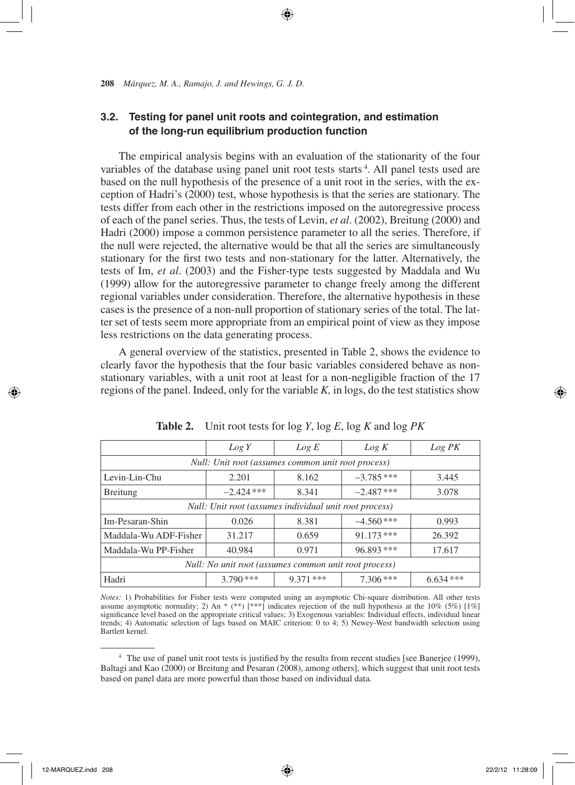### **3.2. Testing for panel unit roots and cointegration, and estimation of the long-run equilibrium production function**

The empirical analysis begins with an evaluation of the stationarity of the four variables of the database using panel unit root tests starts<sup>4</sup>. All panel tests used are based on the null hypothesis of the presence of a unit root in the series, with the exception of Hadri's (2000) test, whose hypothesis is that the series are stationary. The tests differ from each other in the restrictions imposed on the autoregressive process of each of the panel series. Thus, the tests of Levin, *et al*. (2002), Breitung (2000) and Hadri (2000) impose a common persistence parameter to all the series. Therefore, if the null were rejected, the alternative would be that all the series are simultaneously stationary for the first two tests and non-stationary for the latter. Alternatively, the tests of Im, *et al*. (2003) and the Fisher-type tests suggested by Maddala and Wu (1999) allow for the autoregressive parameter to change freely among the different regional variables under consideration. Therefore, the alternative hypothesis in these cases is the presence of a non-null proportion of stationary series of the total. The latter set of tests seem more appropriate from an empirical point of view as they impose less restrictions on the data generating process.

A general overview of the statistics, presented in Table 2, shows the evidence to clearly favor the hypothesis that the four basic variables considered behave as nonstationary variables, with a unit root at least for a non-negligible fraction of the 17 regions of the panel. Indeed, only for the variable *K,* in logs, do the test statistics show

|                                                        | Log Y        | Log E       | Log K        | Log PK     |  |  |  |
|--------------------------------------------------------|--------------|-------------|--------------|------------|--|--|--|
| Null: Unit root (assumes common unit root process)     |              |             |              |            |  |  |  |
| Levin-Lin-Chu                                          | 2.201        | 8.162       | $-3.785$ *** | 3.445      |  |  |  |
| <b>Breitung</b>                                        | $-2.424$ *** | 8.341       | $-2.487$ *** | 3.078      |  |  |  |
| Null: Unit root (assumes individual unit root process) |              |             |              |            |  |  |  |
| Im-Pesaran-Shin                                        | 0.026        | 8.381       | $-4.560$ *** | 0.993      |  |  |  |
| Maddala-Wu ADF-Fisher                                  | 31.217       | 0.659       | $91.173$ *** | 26.392     |  |  |  |
| Maddala-Wu PP-Fisher                                   | 40.984       | 0.971       | 96.893 ***   | 17.617     |  |  |  |
| Null: No unit root (assumes common unit root process)  |              |             |              |            |  |  |  |
| Hadri                                                  | $3.790$ ***  | $9.371$ *** | $7.306***$   | $6.634***$ |  |  |  |

**Table 2.** Unit root tests for log *Y*, log *E*, log *K* and log *PK*

*Notes:* 1) Probabilities for Fisher tests were computed using an asymptotic Chi-square distribution. All other tests assume asymptotic normality; 2) An \* (\*\*) [\*\*\*] indicates rejection of the null hypothesis at the 10% (5%) [1%] significance level based on the appropriate critical values; 3) Exogenous variables: Individual effects, individual linear trends; 4) Automatic selection of lags based on MAIC criterion: 0 to 4; 5) Newey-West bandwidth selection using Bartlett kernel.

<sup>4</sup> The use of panel unit root tests is justified by the results from recent studies [see Banerjee (1999), Baltagi and Kao (2000) or Breitung and Pesaran (2008), among others], which suggest that unit root tests based on panel data are more powerful than those based on individual data.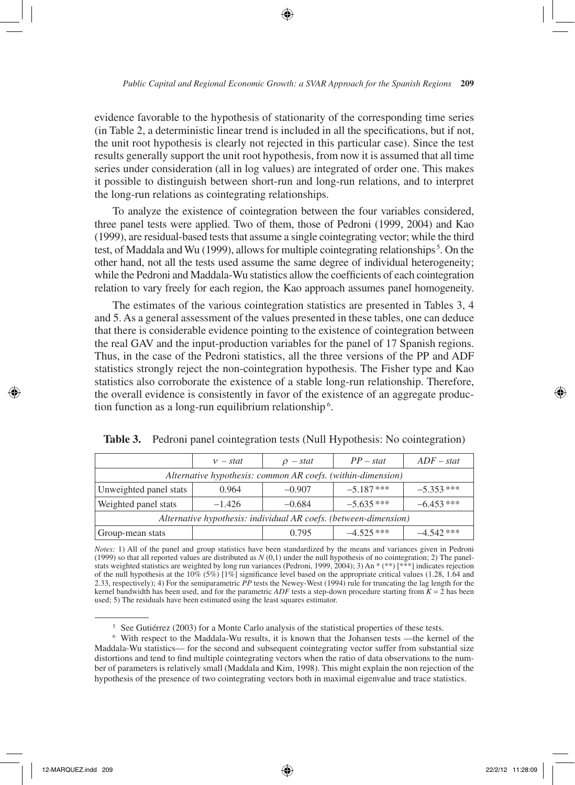evidence favorable to the hypothesis of stationarity of the corresponding time series (in Table 2, a deterministic linear trend is included in all the specifications, but if not, the unit root hypothesis is clearly not rejected in this particular case). Since the test results generally support the unit root hypothesis, from now it is assumed that all time series under consideration (all in log values) are integrated of order one. This makes it possible to distinguish between short-run and long-run relations, and to interpret the long-run relations as cointegrating relationships.

To analyze the existence of cointegration between the four variables considered, three panel tests were applied. Two of them, those of Pedroni (1999, 2004) and Kao (1999), are residual-based tests that assume a single cointegrating vector; while the third test, of Maddala and Wu (1999), allows for multiple cointegrating relationships<sup>5</sup>. On the other hand, not all the tests used assume the same degree of individual heterogeneity; while the Pedroni and Maddala-Wu statistics allow the coefficients of each cointegration relation to vary freely for each region, the Kao approach assumes panel homogeneity.

The estimates of the various cointegration statistics are presented in Tables 3, 4 and 5. As a general assessment of the values presented in these tables, one can deduce that there is considerable evidence pointing to the existence of cointegration between the real GAV and the input-production variables for the panel of 17 Spanish regions. Thus, in the case of the Pedroni statistics, all the three versions of the PP and ADF statistics strongly reject the non-cointegration hypothesis. The Fisher type and Kao statistics also corroborate the existence of a stable long-run relationship. Therefore, the overall evidence is consistently in favor of the existence of an aggregate production function as a long-run equilibrium relationship<sup>6</sup>.

|                                                                  | $v - stat$ | $\rho$ – stat | $PP - stat$  | $ADF - stat$ |  |
|------------------------------------------------------------------|------------|---------------|--------------|--------------|--|
| Alternative hypothesis: common AR coefs. (within-dimension)      |            |               |              |              |  |
| Unweighted panel stats                                           | 0.964      | $-0.907$      | $-5.187$ *** | $-5.353$ *** |  |
| Weighted panel stats                                             | $-1.426$   | $-0.684$      | $-5.635***$  | $-6.453***$  |  |
| Alternative hypothesis: individual AR coefs. (between-dimension) |            |               |              |              |  |
| Group-mean stats                                                 |            | 0.795         | $-4.525***$  | $-4.542$ *** |  |

**Table 3.** Pedroni panel cointegration tests (Null Hypothesis: No cointegration)

*Notes:* 1) All of the panel and group statistics have been standardized by the means and variances given in Pedroni (1999) so that all reported values are distributed as *N* (0,1) under the null hypothesis of no cointegration; 2) The panelstats weighted statistics are weighted by long run variances (Pedroni, 1999, 2004); 3) An \* (\*\*) [\*\*\*] indicates rejection of the null hypothesis at the 10% (5%) [1%] significance level based on the appropriate critical values (1.28, 1.64 and 2.33, respectively); 4) For the semiparametric *PP* tests the Newey-West (1994) rule for truncating the lag length for the kernel bandwidth has been used, and for the parametric  $ADF$  tests a step-down procedure starting from  $K = 2$  has been used; 5) The residuals have been estimated using the least squares estimator.

<sup>5</sup> See Gutiérrez (2003) for a Monte Carlo analysis of the statistical properties of these tests.

<sup>6</sup> With respect to the Maddala-Wu results, it is known that the Johansen tests —the kernel of the Maddala-Wu statistics— for the second and subsequent cointegrating vector suffer from substantial size distortions and tend to find multiple cointegrating vectors when the ratio of data observations to the number of parameters is relatively small (Maddala and Kim, 1998). This might explain the non rejection of the hypothesis of the presence of two cointegrating vectors both in maximal eigenvalue and trace statistics.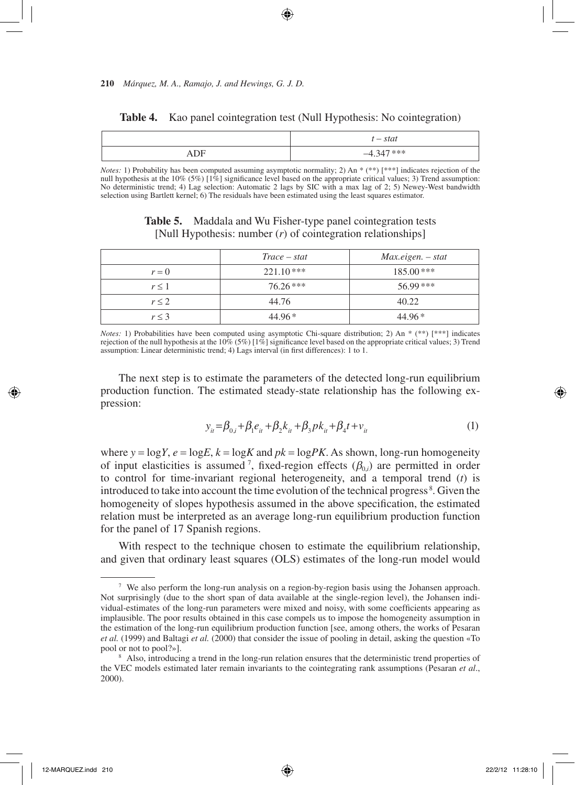|         | $t - stat$   |
|---------|--------------|
| DF<br>. | $-4.347$ *** |

**Table 4.** Kao panel cointegration test (Null Hypothesis: No cointegration)

*Notes*: 1) Probability has been computed assuming asymptotic normality; 2) An \* (\*\*) [\*\*\*] indicates rejection of the null hypothesis at the 10% (5%) [1%] significance level based on the appropriate critical values; 3) Trend assumption: No deterministic trend; 4) Lag selection: Automatic 2 lags by SIC with a max lag of 2; 5) Newey-West bandwidth selection using Bartlett kernel; 6) The residuals have been estimated using the least squares estimator.

| <b>Table 5.</b> | Maddala and Wu Fisher-type panel cointegration tests           |  |
|-----------------|----------------------------------------------------------------|--|
|                 | [Null Hypothesis: number $(r)$ of cointegration relationships] |  |

|            | $Trace - stat$ | $Max.eigen. - stat$ |
|------------|----------------|---------------------|
| $r = 0$    | $221.10***$    | $185.00$ ***        |
| $r \leq 1$ | $76.26***$     | 56.99***            |
| $r \leq 2$ | 44.76          | 40.22               |
| $r \leq 3$ | $44.96*$       | $44.96*$            |

*Notes*: 1) Probabilities have been computed using asymptotic Chi-square distribution; 2) An \* (\*\*) [\*\*\*] indicates rejection of the null hypothesis at the  $10\%$  (5%) [1%] significance level based on the appropriate critical values; 3) Trend assumption: Linear deterministic trend; 4) Lags interval (in first differences): 1 to 1.

The next step is to estimate the parameters of the detected long-run equilibrium production function. The estimated steady-state relationship has the following expression:

$$
y_{it} = \beta_{0,i} + \beta_1 e_{it} + \beta_2 k_{it} + \beta_3 p k_{it} + \beta_4 t + v_{it}
$$
 (1)

where  $y = logY$ ,  $e = logE$ ,  $k = logK$  and  $pk = logPK$ . As shown, long-run homogeneity of input elasticities is assumed <sup>7</sup>, fixed-region effects  $(\beta_{0,i})$  are permitted in order to control for time-invariant regional heterogeneity, and a temporal trend (*t*) is introduced to take into account the time evolution of the technical progress <sup>8</sup> . Given the homogeneity of slopes hypothesis assumed in the above specification, the estimated relation must be interpreted as an average long-run equilibrium production function for the panel of 17 Spanish regions.

With respect to the technique chosen to estimate the equilibrium relationship, and given that ordinary least squares (OLS) estimates of the long-run model would

<sup>7</sup> We also perform the long-run analysis on a region-by-region basis using the Johansen approach. Not surprisingly (due to the short span of data available at the single-region level), the Johansen individual-estimates of the long-run parameters were mixed and noisy, with some coefficients appearing as implausible. The poor results obtained in this case compels us to impose the homogeneity assumption in the estimation of the long-run equilibrium production function [see, among others, the works of Pesaran *et al.* (1999) and Baltagi *et al.* (2000) that consider the issue of pooling in detail, asking the question «To pool or not to pool?»].

<sup>&</sup>lt;sup>8</sup> Also, introducing a trend in the long-run relation ensures that the deterministic trend properties of the VEC models estimated later remain invariants to the cointegrating rank assumptions (Pesaran *et al*., 2000).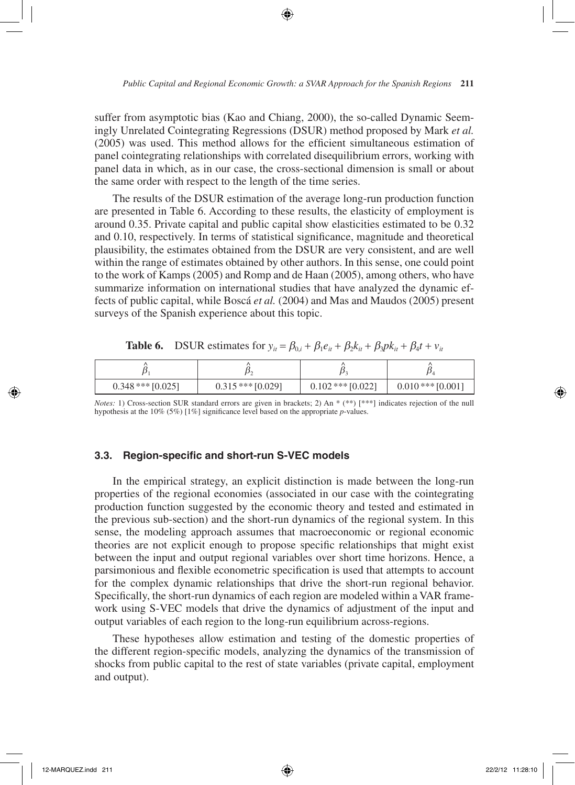suffer from asymptotic bias (Kao and Chiang, 2000), the so-called Dynamic Seemingly Unrelated Cointegrating Regressions (DSUR) method proposed by Mark *et al.* (2005) was used. This method allows for the efficient simultaneous estimation of panel cointegrating relationships with correlated disequilibrium errors, working with panel data in which, as in our case, the cross-sectional dimension is small or about the same order with respect to the length of the time series.

The results of the DSUR estimation of the average long-run production function are presented in Table 6. According to these results, the elasticity of employment is around 0.35. Private capital and public capital show elasticities estimated to be 0.32 and 0.10, respectively. In terms of statistical significance, magnitude and theoretical plausibility, the estimates obtained from the DSUR are very consistent, and are well within the range of estimates obtained by other authors. In this sense, one could point to the work of Kamps (2005) and Romp and de Haan (2005), among others, who have summarize information on international studies that have analyzed the dynamic effects of public capital, while Boscá *et al.* (2004) and Mas and Maudos (2005) present surveys of the Spanish experience about this topic.

| $0.348$ *** $[0.025]$ | $0.315$ *** $[0.029]$ | $0.102$ *** $[0.022]$ | $0.010$ *** $[0.001]$ |
|-----------------------|-----------------------|-----------------------|-----------------------|

**Table 6.** DSUR estimates for  $y_{it} = \beta_{0i} + \beta_1 e_{it} + \beta_2 k_{it} + \beta_3 p k_{it} + \beta_4 t + v_{it}$ 

*Notes:* 1) Cross-section SUR standard errors are given in brackets; 2) An \* (\*\*) [\*\*\*] indicates rejection of the null hypothesis at the 10% (5%) [1%] significance level based on the appropriate *p*-values.

#### **3.3. Region-specific and short-run S-VEC models**

In the empirical strategy, an explicit distinction is made between the long-run properties of the regional economies (associated in our case with the cointegrating production function suggested by the economic theory and tested and estimated in the previous sub-section) and the short-run dynamics of the regional system. In this sense, the modeling approach assumes that macroeconomic or regional economic theories are not explicit enough to propose specific relationships that might exist between the input and output regional variables over short time horizons. Hence, a parsimonious and flexible econometric specification is used that attempts to account for the complex dynamic relationships that drive the short-run regional behavior. Specifically, the short-run dynamics of each region are modeled within a VAR framework using S-VEC models that drive the dynamics of adjustment of the input and output variables of each region to the long-run equilibrium across-regions.

These hypotheses allow estimation and testing of the domestic properties of the different region-specific models, analyzing the dynamics of the transmission of shocks from public capital to the rest of state variables (private capital, employment and output).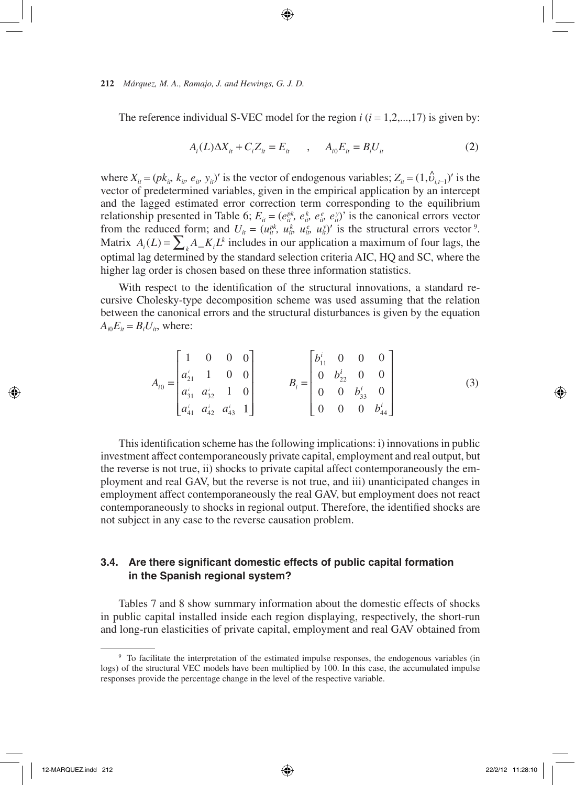The reference individual S-VEC model for the region  $i$  ( $i = 1, 2, ..., 17$ ) is given by:

$$
A_i(L)\Delta X_{it} + C_i Z_{it} = E_{it} \qquad , \qquad A_{i0} E_{it} = B_i U_{it} \tag{2}
$$

where  $X_{it} = (pk_{it}, k_{it}, e_{it}, y_{it})'$  is the vector of endogenous variables;  $Z_{it} = (1, \hat{v}_{i,t-1})'$  is the vector of predetermined variables, given in the empirical application by an intercept and the lagged estimated error correction term corresponding to the equilibrium relationship presented in Table 6;  $E_{it} = (e_{it}^{pk}, e_{it}^k, e_{it}^e, e_{it}^y)$  is the canonical errors vector from the reduced form; and  $U_{it} = (u_{it}^{pk}, u_{it}^k, u_{it}^e, u_{it}^s)'$  is the structural errors vector<sup>9</sup>. Matrix  $A_i(L) = \sum_k A_k L^k$  includes in our application a maximum of four lags, the optimal lag determined by the standard selection criteria AIC, HQ and SC, where the higher lag order is chosen based on these three information statistics.

With respect to the identification of the structural innovations, a standard recursive Cholesky-type decomposition scheme was used assuming that the relation between the canonical errors and the structural disturbances is given by the equation  $A_{i0}E_{it} = B_iU_{it}$ , where:

$$
A_{i0} = \begin{bmatrix} 1 & 0 & 0 & 0 \\ a_{21}^i & 1 & 0 & 0 \\ a_{31}^i & a_{32}^i & 1 & 0 \\ a_{41}^i & a_{42}^i & a_{43}^i & 1 \end{bmatrix} \qquad B_i = \begin{bmatrix} b_{11}^i & 0 & 0 & 0 \\ 0 & b_{22}^i & 0 & 0 \\ 0 & 0 & b_{33}^i & 0 \\ 0 & 0 & 0 & b_{44}^i \end{bmatrix}
$$
(3)

This identification scheme has the following implications: i) innovations in public investment affect contemporaneously private capital, employment and real output, but the reverse is not true, ii) shocks to private capital affect contemporaneously the employment and real GAV, but the reverse is not true, and iii) unanticipated changes in employment affect contemporaneously the real GAV, but employment does not react contemporaneously to shocks in regional output. Therefore, the identified shocks are not subject in any case to the reverse causation problem.

## **3.4. Are there significant domestic effects of public capital formation in the Spanish regional system?**

Tables 7 and 8 show summary information about the domestic effects of shocks in public capital installed inside each region displaying, respectively, the short-run and long-run elasticities of private capital, employment and real GAV obtained from

<sup>&</sup>lt;sup>9</sup> To facilitate the interpretation of the estimated impulse responses, the endogenous variables (in logs) of the structural VEC models have been multiplied by 100. In this case, the accumulated impulse responses provide the percentage change in the level of the respective variable.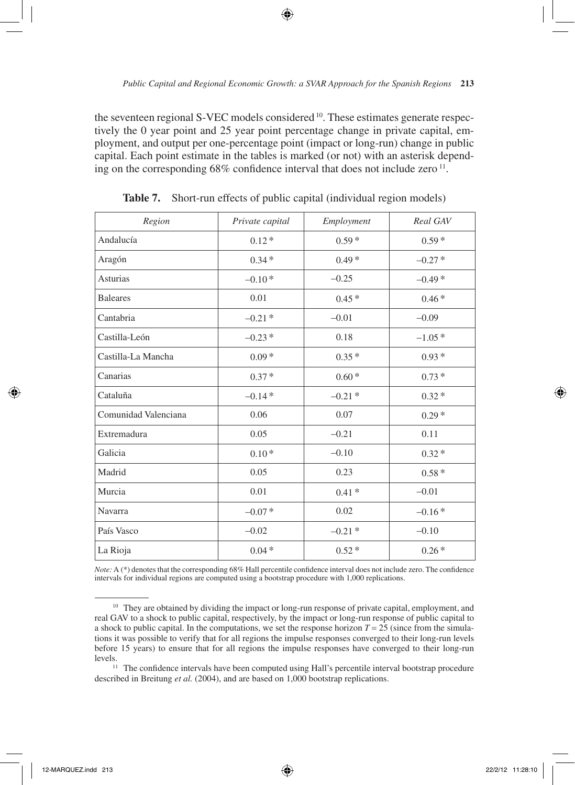the seventeen regional S-VEC models considered  $^{10}$ . These estimates generate respectively the 0 year point and 25 year point percentage change in private capital, employment, and output per one-percentage point (impact or long-run) change in public capital. Each point estimate in the tables is marked (or not) with an asterisk depending on the corresponding  $68\%$  confidence interval that does not include zero  $^{11}$ .

| Region               | Private capital | Employment | Real GAV |
|----------------------|-----------------|------------|----------|
| Andalucía            | $0.12*$         | $0.59*$    | $0.59*$  |
| Aragón               | $0.34*$         | $0.49*$    | $-0.27*$ |
| Asturias             | $-0.10*$        | $-0.25$    | $-0.49*$ |
| <b>Baleares</b>      | 0.01            | $0.45*$    | $0.46*$  |
| Cantabria            | $-0.21*$        | $-0.01$    | $-0.09$  |
| Castilla-León        | $-0.23*$        | 0.18       | $-1.05*$ |
| Castilla-La Mancha   | $0.09*$         | $0.35*$    | $0.93*$  |
| Canarias             | $0.37*$         | $0.60*$    | $0.73*$  |
| Cataluña             | $-0.14*$        | $-0.21*$   | $0.32*$  |
| Comunidad Valenciana | 0.06            | 0.07       | $0.29*$  |
| Extremadura          | 0.05            | $-0.21$    | 0.11     |
| Galicia              | $0.10*$         | $-0.10$    | $0.32*$  |
| Madrid               | 0.05            | 0.23       | $0.58*$  |
| Murcia               | 0.01            | $0.41*$    | $-0.01$  |
| Navarra              | $-0.07*$        | 0.02       | $-0.16*$ |
| País Vasco           | $-0.02$         | $-0.21*$   | $-0.10$  |
| La Rioja             | $0.04*$         | $0.52*$    | $0.26*$  |

**Table 7.** Short-run effects of public capital (individual region models)

*Note:* A (\*) denotes that the corresponding 68% Hall percentile confidence interval does not include zero. The confidence intervals for individual regions are computed using a bootstrap procedure with 1,000 replications.

<sup>&</sup>lt;sup>10</sup> They are obtained by dividing the impact or long-run response of private capital, employment, and real GAV to a shock to public capital, respectively, by the impact or long-run response of public capital to a shock to public capital. In the computations, we set the response horizon  $T = 25$  (since from the simulations it was possible to verify that for all regions the impulse responses converged to their long-run levels before 15 years) to ensure that for all regions the impulse responses have converged to their long-run

levels. 11 The confidence intervals have been computed using Hall's percentile interval bootstrap procedure described in Breitung *et al.* (2004), and are based on 1,000 bootstrap replications.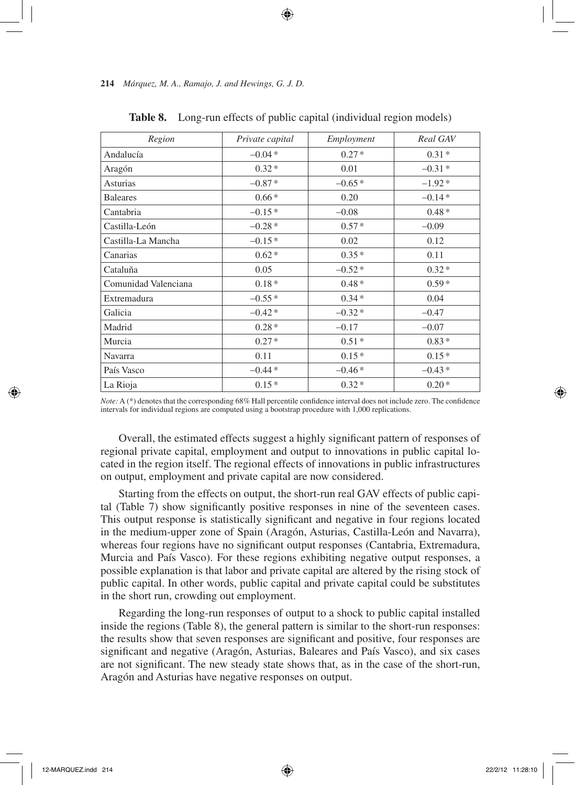| Region               | Private capital | Employment | Real GAV |
|----------------------|-----------------|------------|----------|
| Andalucía            | $-0.04*$        | $0.27*$    | $0.31*$  |
| Aragón               | $0.32*$         | 0.01       | $-0.31*$ |
| Asturias             | $-0.87*$        | $-0.65*$   | $-1.92*$ |
| <b>Baleares</b>      | $0.66*$         | 0.20       | $-0.14*$ |
| Cantabria            | $-0.15*$        | $-0.08$    | $0.48*$  |
| Castilla-León        | $-0.28*$        | $0.57*$    | $-0.09$  |
| Castilla-La Mancha   | $-0.15*$        | 0.02       | 0.12     |
| Canarias             | $0.62*$         | $0.35*$    | 0.11     |
| Cataluña             | 0.05            | $-0.52*$   | $0.32*$  |
| Comunidad Valenciana | $0.18*$         | $0.48*$    | $0.59*$  |
| Extremadura          | $-0.55*$        | $0.34*$    | 0.04     |
| Galicia              | $-0.42*$        | $-0.32*$   | $-0.47$  |
| Madrid               | $0.28*$         | $-0.17$    | $-0.07$  |
| Murcia               | $0.27*$         | $0.51*$    | $0.83*$  |
| Navarra              | 0.11            | $0.15*$    | $0.15*$  |
| País Vasco           | $-0.44*$        | $-0.46*$   | $-0.43*$ |
| La Rioja             | $0.15*$         | $0.32*$    | $0.20*$  |

**Table 8.** Long-run effects of public capital (individual region models)

*Note:* A (\*) denotes that the corresponding 68% Hall percentile confidence interval does not include zero. The confidence intervals for individual regions are computed using a bootstrap procedure with 1,000 replications.

Overall, the estimated effects suggest a highly significant pattern of responses of regional private capital, employment and output to innovations in public capital located in the region itself. The regional effects of innovations in public infrastructures on output, employment and private capital are now considered.

Starting from the effects on output, the short-run real GAV effects of public capital (Table 7) show significantly positive responses in nine of the seventeen cases. This output response is statistically significant and negative in four regions located in the medium-upper zone of Spain (Aragón, Asturias, Castilla-León and Navarra), whereas four regions have no significant output responses (Cantabria, Extremadura, Murcia and País Vasco). For these regions exhibiting negative output responses, a possible explanation is that labor and private capital are altered by the rising stock of public capital. In other words, public capital and private capital could be substitutes in the short run, crowding out employment.

Regarding the long-run responses of output to a shock to public capital installed inside the regions (Table 8), the general pattern is similar to the short-run responses: the results show that seven responses are significant and positive, four responses are significant and negative (Aragón, Asturias, Baleares and País Vasco), and six cases are not significant. The new steady state shows that, as in the case of the short-run, Aragón and Asturias have negative responses on output.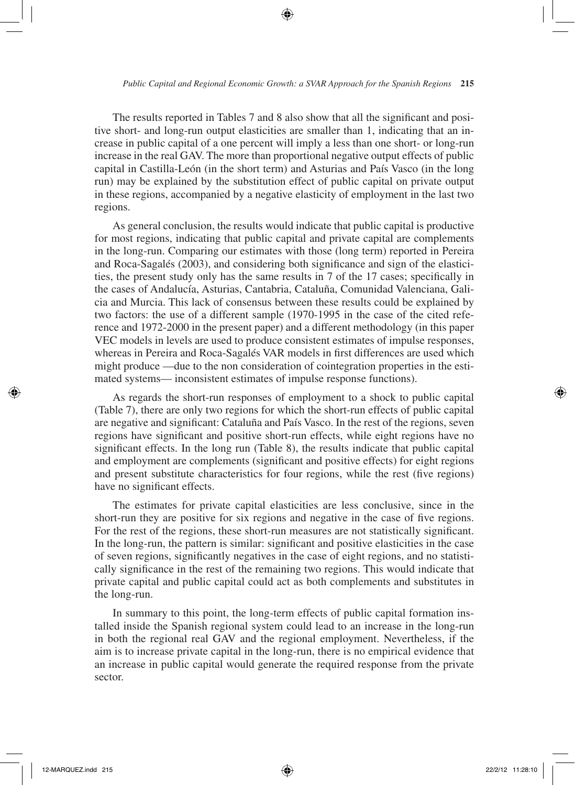The results reported in Tables 7 and 8 also show that all the significant and positive short- and long-run output elasticities are smaller than 1, indicating that an increase in public capital of a one percent will imply a less than one short- or long-run increase in the real GAV. The more than proportional negative output effects of public capital in Castilla-León (in the short term) and Asturias and País Vasco (in the long run) may be explained by the substitution effect of public capital on private output in these regions, accompanied by a negative elasticity of employment in the last two regions.

As general conclusion, the results would indicate that public capital is productive for most regions, indicating that public capital and private capital are complements in the long-run. Comparing our estimates with those (long term) reported in Pereira and Roca-Sagalés (2003), and considering both significance and sign of the elasticities, the present study only has the same results in 7 of the 17 cases; specifically in the cases of Andalucía, Asturias, Cantabria, Cataluña, Comunidad Valenciana, Galicia and Murcia. This lack of consensus between these results could be explained by two factors: the use of a different sample (1970-1995 in the case of the cited reference and 1972-2000 in the present paper) and a different methodology (in this paper VEC models in levels are used to produce consistent estimates of impulse responses, whereas in Pereira and Roca-Sagalés VAR models in first differences are used which might produce —due to the non consideration of cointegration properties in the estimated systems— inconsistent estimates of impulse response functions).

As regards the short-run responses of employment to a shock to public capital (Table 7), there are only two regions for which the short-run effects of public capital are negative and significant: Cataluña and País Vasco. In the rest of the regions, seven regions have significant and positive short-run effects, while eight regions have no significant effects. In the long run (Table 8), the results indicate that public capital and employment are complements (significant and positive effects) for eight regions and present substitute characteristics for four regions, while the rest (five regions) have no significant effects.

The estimates for private capital elasticities are less conclusive, since in the short-run they are positive for six regions and negative in the case of five regions. For the rest of the regions, these short-run measures are not statistically significant. In the long-run, the pattern is similar: significant and positive elasticities in the case of seven regions, significantly negatives in the case of eight regions, and no statistically significance in the rest of the remaining two regions. This would indicate that private capital and public capital could act as both complements and substitutes in the long-run.

In summary to this point, the long-term effects of public capital formation installed inside the Spanish regional system could lead to an increase in the long-run in both the regional real GAV and the regional employment. Nevertheless, if the aim is to increase private capital in the long-run, there is no empirical evidence that an increase in public capital would generate the required response from the private sector.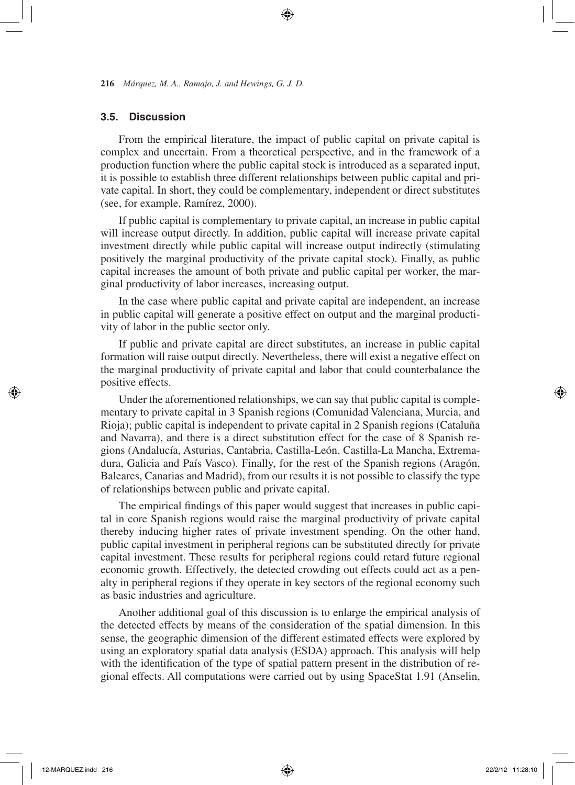#### **3.5. Discussion**

From the empirical literature, the impact of public capital on private capital is complex and uncertain. From a theoretical perspective, and in the framework of a production function where the public capital stock is introduced as a separated input, it is possible to establish three different relationships between public capital and private capital. In short, they could be complementary, independent or direct substitutes (see, for example, Ramírez, 2000).

If public capital is complementary to private capital, an increase in public capital will increase output directly. In addition, public capital will increase private capital investment directly while public capital will increase output indirectly (stimulating positively the marginal productivity of the private capital stock). Finally, as public capital increases the amount of both private and public capital per worker, the marginal productivity of labor increases, increasing output.

In the case where public capital and private capital are independent, an increase in public capital will generate a positive effect on output and the marginal productivity of labor in the public sector only.

If public and private capital are direct substitutes, an increase in public capital formation will raise output directly. Nevertheless, there will exist a negative effect on the marginal productivity of private capital and labor that could counterbalance the positive effects.

Under the aforementioned relationships, we can say that public capital is complementary to private capital in 3 Spanish regions (Comunidad Valenciana, Murcia, and Rioja); public capital is independent to private capital in 2 Spanish regions (Cataluña and Navarra), and there is a direct substitution effect for the case of 8 Spanish regions (Andalucía, Asturias, Cantabria, Castilla-León, Castilla-La Mancha, Extremadura, Galicia and País Vasco). Finally, for the rest of the Spanish regions (Aragón, Baleares, Canarias and Madrid), from our results it is not possible to classify the type of relationships between public and private capital.

The empirical findings of this paper would suggest that increases in public capital in core Spanish regions would raise the marginal productivity of private capital thereby inducing higher rates of private investment spending. On the other hand, public capital investment in peripheral regions can be substituted directly for private capital investment. These results for peripheral regions could retard future regional economic growth. Effectively, the detected crowding out effects could act as a penalty in peripheral regions if they operate in key sectors of the regional economy such as basic industries and agriculture.

Another additional goal of this discussion is to enlarge the empirical analysis of the detected effects by means of the consideration of the spatial dimension. In this sense, the geographic dimension of the different estimated effects were explored by using an exploratory spatial data analysis (ESDA) approach. This analysis will help with the identification of the type of spatial pattern present in the distribution of regional effects. All computations were carried out by using SpaceStat 1.91 (Anselin,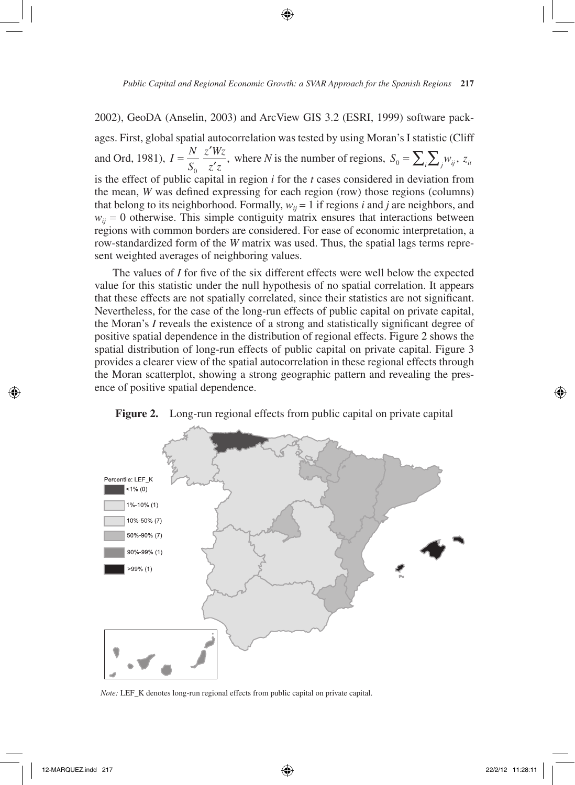2002), GeoDA (Anselin, 2003) and ArcView GIS 3.2 (ESRI, 1999) software pack-

ages. First, global spatial autocorrelation was tested by using Moran's I statistic (Cliff and Ord, 1981),  $I = \frac{N}{g}$ *S*  $=\frac{N}{S_0} \frac{z'Wz}{z'z}$ , where *N* is the number of regions,  $S_0 = \sum_i \sum_j w_{ij}$ ,  $z_{ii}$ is the effect of public capital in region *i* for the *t* cases considered in deviation from the mean, *W* was defined expressing for each region (row) those regions (columns) that belong to its neighborhood. Formally,  $w_{ij} = 1$  if regions *i* and *j* are neighbors, and  $w_{ij} = 0$  otherwise. This simple contiguity matrix ensures that interactions between regions with common borders are considered. For ease of economic interpretation, a row-standardized form of the *W* matrix was used. Thus, the spatial lags terms represent weighted averages of neighboring values.

The values of *I* for five of the six different effects were well below the expected value for this statistic under the null hypothesis of no spatial correlation. It appears that these effects are not spatially correlated, since their statistics are not significant. Nevertheless, for the case of the long-run effects of public capital on private capital, the Moran's *I* reveals the existence of a strong and statistically significant degree of positive spatial dependence in the distribution of regional effects. Figure 2 shows the spatial distribution of long-run effects of public capital on private capital. Figure 3 provides a clearer view of the spatial autocorrelation in these regional effects through the Moran scatterplot, showing a strong geographic pattern and revealing the presence of positive spatial dependence.



**Figure 2.** Long-run regional effects from public capital on private capital

*Note:* LEF\_K denotes long-run regional effects from public capital on private capital.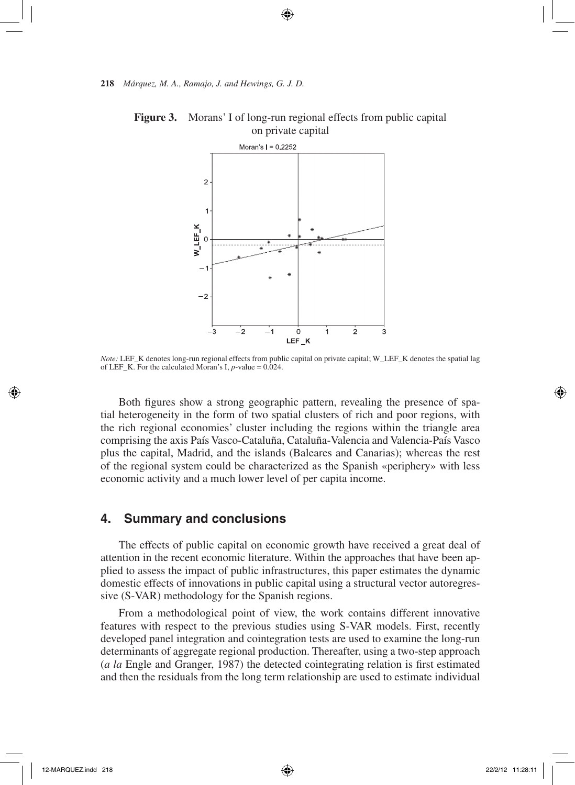

**Figure 3.** Morans' I of long-run regional effects from public capital on private capital

*Note:* LEF\_K denotes long-run regional effects from public capital on private capital; W\_LEF\_K denotes the spatial lag of LEF<sub>K.</sub> For the calculated Moran's I,  $p$ -value =  $0.024$ .

Both figures show a strong geographic pattern, revealing the presence of spatial heterogeneity in the form of two spatial clusters of rich and poor regions, with the rich regional economies' cluster including the regions within the triangle area comprising the axis País Vasco-Cataluña, Cataluña-Valencia and Valencia-País Vasco plus the capital, Madrid, and the islands (Baleares and Canarias); whereas the rest of the regional system could be characterized as the Spanish «periphery» with less economic activity and a much lower level of per capita income.

#### **4. Summary and conclusions**

The effects of public capital on economic growth have received a great deal of attention in the recent economic literature. Within the approaches that have been applied to assess the impact of public infrastructures, this paper estimates the dynamic domestic effects of innovations in public capital using a structural vector autoregressive (S-VAR) methodology for the Spanish regions.

From a methodological point of view, the work contains different innovative features with respect to the previous studies using S-VAR models. First, recently developed panel integration and cointegration tests are used to examine the long-run determinants of aggregate regional production. Thereafter, using a two-step approach (*a la* Engle and Granger, 1987) the detected cointegrating relation is first estimated and then the residuals from the long term relationship are used to estimate individual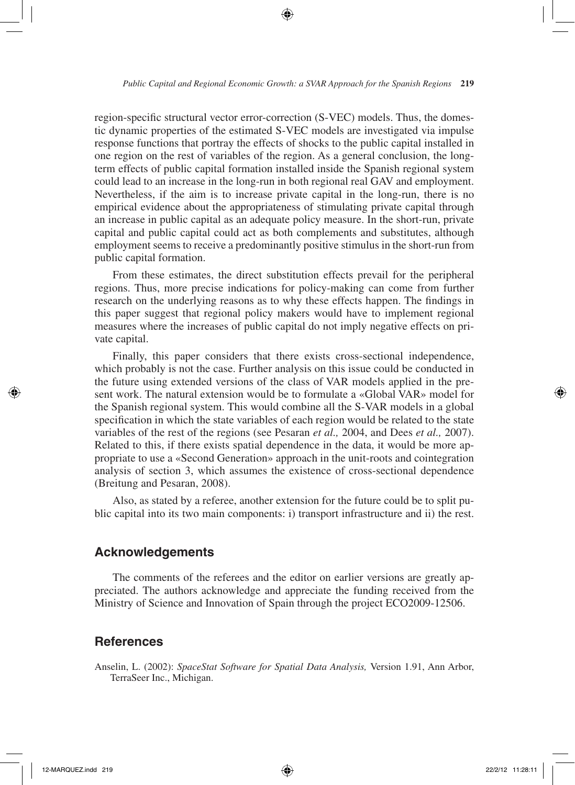region-specific structural vector error-correction (S-VEC) models. Thus, the domestic dynamic properties of the estimated S-VEC models are investigated via impulse response functions that portray the effects of shocks to the public capital installed in one region on the rest of variables of the region. As a general conclusion, the longterm effects of public capital formation installed inside the Spanish regional system could lead to an increase in the long-run in both regional real GAV and employment. Nevertheless, if the aim is to increase private capital in the long-run, there is no empirical evidence about the appropriateness of stimulating private capital through an increase in public capital as an adequate policy measure. In the short-run, private capital and public capital could act as both complements and substitutes, although employment seems to receive a predominantly positive stimulus in the short-run from public capital formation.

From these estimates, the direct substitution effects prevail for the peripheral regions. Thus, more precise indications for policy-making can come from further research on the underlying reasons as to why these effects happen. The findings in this paper suggest that regional policy makers would have to implement regional measures where the increases of public capital do not imply negative effects on private capital.

Finally, this paper considers that there exists cross-sectional independence, which probably is not the case. Further analysis on this issue could be conducted in the future using extended versions of the class of VAR models applied in the present work. The natural extension would be to formulate a «Global VAR» model for the Spanish regional system. This would combine all the S-VAR models in a global specification in which the state variables of each region would be related to the state variables of the rest of the regions (see Pesaran *et al.,* 2004, and Dees *et al.,* 2007). Related to this, if there exists spatial dependence in the data, it would be more appropriate to use a «Second Generation» approach in the unit-roots and cointegration analysis of section 3, which assumes the existence of cross-sectional dependence (Breitung and Pesaran, 2008).

Also, as stated by a referee, another extension for the future could be to split public capital into its two main components: i) transport infrastructure and ii) the rest.

# **Acknowledgements**

The comments of the referees and the editor on earlier versions are greatly appreciated. The authors acknowledge and appreciate the funding received from the Ministry of Science and Innovation of Spain through the project ECO2009-12506.

# **References**

Anselin, L. (2002): *SpaceStat Software for Spatial Data Analysis,* Version 1.91, Ann Arbor, TerraSeer Inc., Michigan.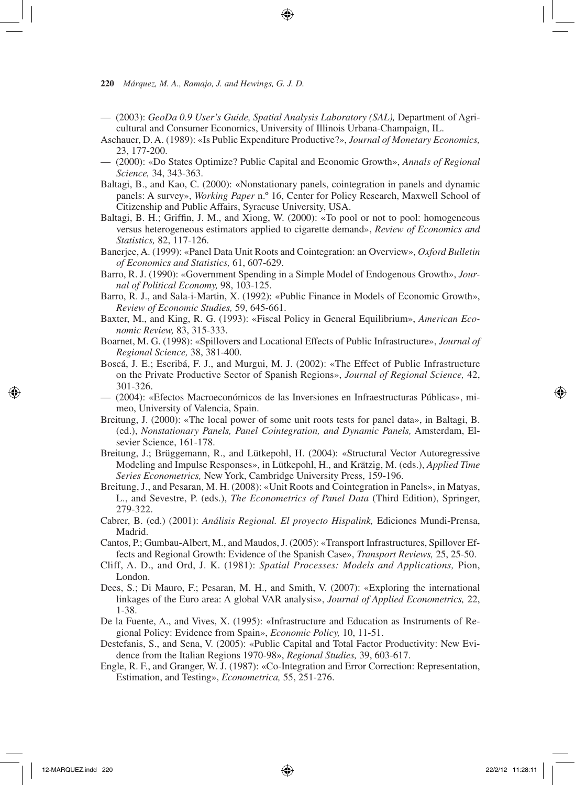- (2003): *GeoDa 0.9 User's Guide, Spatial Analysis Laboratory (SAL),* Department of Agricultural and Consumer Economics, University of Illinois Urbana-Champaign, IL.
- Aschauer, D. A. (1989): «Is Public Expenditure Productive?», *Journal of Monetary Economics,*  23, 177-200.
- (2000): «Do States Optimize? Public Capital and Economic Growth», *Annals of Regional Science,* 34, 343-363.
- Baltagi, B., and Kao, C. (2000): «Nonstationary panels, cointegration in panels and dynamic panels: A survey», *Working Paper* n.º 16, Center for Policy Research, Maxwell School of Citizenship and Public Affairs, Syracuse University, USA.
- Baltagi, B. H.; Griffin, J. M., and Xiong, W. (2000): «To pool or not to pool: homogeneous versus heterogeneous estimators applied to cigarette demand», *Review of Economics and Statistics,* 82, 117-126.
- Banerjee, A. (1999): «Panel Data Unit Roots and Cointegration: an Overview», *Oxford Bulletin of Economics and Statistics,* 61, 607-629.
- Barro, R. J. (1990): «Government Spending in a Simple Model of Endogenous Growth», *Journal of Political Economy,* 98, 103-125.
- Barro, R. J., and Sala-i-Martin, X. (1992): «Public Finance in Models of Economic Growth», *Review of Economic Studies,* 59, 645-661.
- Baxter, M., and King, R. G. (1993): «Fiscal Policy in General Equilibrium», *American Economic Review,* 83, 315-333.
- Boarnet, M. G. (1998): «Spillovers and Locational Effects of Public Infrastructure», *Journal of Regional Science,* 38, 381-400.
- Boscá, J. E.; Escribá, F. J., and Murgui, M. J. (2002): «The Effect of Public Infrastructure on the Private Productive Sector of Spanish Regions», *Journal of Regional Science,* 42, 301-326.
- (2004): «Efectos Macroeconómicos de las Inversiones en Infraestructuras Públicas», mimeo, University of Valencia, Spain.
- Breitung, J. (2000): «The local power of some unit roots tests for panel data», in Baltagi, B. (ed.), *Nonstationary Panels, Panel Cointegration, and Dynamic Panels,* Amsterdam, Elsevier Science, 161-178.
- Breitung, J.; Brüggemann, R., and Lütkepohl, H. (2004): «Structural Vector Autoregressive Modeling and Impulse Responses», in Lütkepohl, H., and Krätzig, M. (eds.), *Applied Time Series Econometrics,* New York, Cambridge University Press, 159-196.
- Breitung, J., and Pesaran, M. H. (2008): «Unit Roots and Cointegration in Panels», in Matyas, L., and Sevestre, P. (eds.), *The Econometrics of Panel Data* (Third Edition), Springer, 279-322.
- Cabrer, B. (ed.) (2001): *Análisis Regional. El proyecto Hispalink,* Ediciones Mundi-Prensa, Madrid.
- Cantos, P.; Gumbau-Albert, M., and Maudos, J. (2005): «Transport Infrastructures, Spillover Effects and Regional Growth: Evidence of the Spanish Case», *Transport Reviews,* 25, 25-50.
- Cliff, A. D., and Ord, J. K. (1981): *Spatial Processes: Models and Applications,* Pion, London.
- Dees, S.; Di Mauro, F.; Pesaran, M. H., and Smith, V. (2007): «Exploring the international linkages of the Euro area: A global VAR analysis», *Journal of Applied Econometrics,* 22, 1-38.
- De la Fuente, A., and Vives, X. (1995): «Infrastructure and Education as Instruments of Regional Policy: Evidence from Spain», *Economic Policy,* 10, 11-51.
- Destefanis, S., and Sena, V. (2005): «Public Capital and Total Factor Productivity: New Evidence from the Italian Regions 1970-98», *Regional Studies,* 39, 603-617.
- Engle, R. F., and Granger, W. J. (1987): «Co-Integration and Error Correction: Representation, Estimation, and Testing», *Econometrica,* 55, 251-276.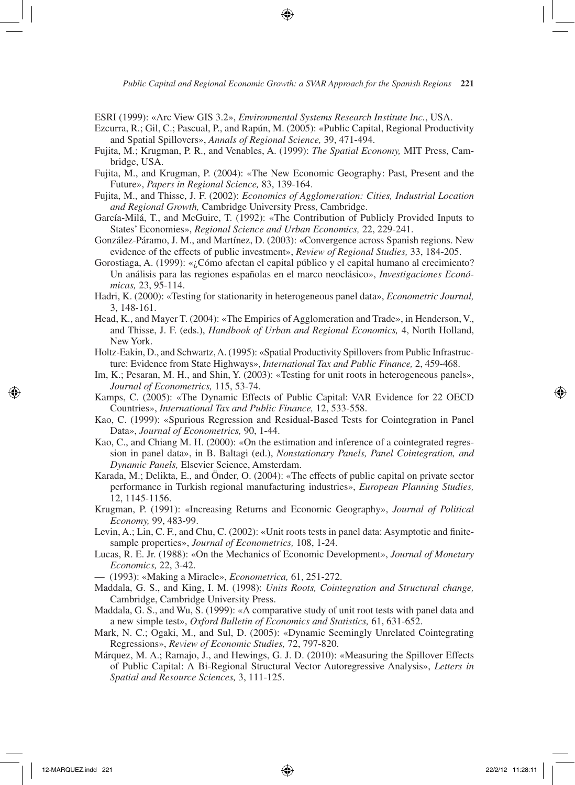ESRI (1999): «Arc View GIS 3.2», *Environmental Systems Research Institute Inc.*, USA.

- Ezcurra, R.; Gil, C.; Pascual, P., and Rapún, M. (2005): «Public Capital, Regional Productivity and Spatial Spillovers», *Annals of Regional Science,* 39, 471-494.
- Fujita, M.; Krugman, P. R., and Venables, A. (1999): *The Spatial Economy,* MIT Press, Cambridge, USA.
- Fujita, M., and Krugman, P. (2004): «The New Economic Geography: Past, Present and the Future», *Papers in Regional Science,* 83, 139-164.
- Fujita, M., and Thisse, J. F. (2002): *Economics of Agglomeration: Cities, Industrial Location and Regional Growth,* Cambridge University Press, Cambridge.
- García-Milá, T., and McGuire, T. (1992): «The Contribution of Publicly Provided Inputs to States' Economies», *Regional Science and Urban Economics,* 22, 229-241.
- González-Páramo, J. M., and Martínez, D. (2003): «Convergence across Spanish regions. New evidence of the effects of public investment», *Review of Regional Studies,* 33, 184-205.
- Gorostiaga, A. (1999): «¿Cómo afectan el capital público y el capital humano al crecimiento? Un análisis para las regiones españolas en el marco neoclásico», *Investigaciones Económicas,* 23, 95-114.
- Hadri, K. (2000): «Testing for stationarity in heterogeneous panel data», *Econometric Journal,*  3, 148-161.
- Head, K., and Mayer T. (2004): «The Empirics of Agglomeration and Trade», in Henderson, V., and Thisse, J. F. (eds.), *Handbook of Urban and Regional Economics,* 4, North Holland, New York.
- Holtz-Eakin, D., and Schwartz, A. (1995): «Spatial Productivity Spillovers from Public Infrastructure: Evidence from State Highways», *International Tax and Public Finance,* 2, 459-468.
- Im, K.; Pesaran, M. H., and Shin, Y. (2003): «Testing for unit roots in heterogeneous panels», *Journal of Econometrics,* 115, 53-74.
- Kamps, C. (2005): «The Dynamic Effects of Public Capital: VAR Evidence for 22 OECD Countries», *International Tax and Public Finance,* 12, 533-558.
- Kao, C. (1999): «Spurious Regression and Residual-Based Tests for Cointegration in Panel Data», *Journal of Econometrics,* 90, 1-44.
- Kao, C., and Chiang M. H. (2000): «On the estimation and inference of a cointegrated regression in panel data», in B. Baltagi (ed.), *Nonstationary Panels, Panel Cointegration, and Dynamic Panels,* Elsevier Science, Amsterdam.
- Karada, M.; Delikta, E., and Önder, O. (2004): «The effects of public capital on private sector performance in Turkish regional manufacturing industries», *European Planning Studies,*  12, 1145-1156.
- Krugman, P. (1991): «Increasing Returns and Economic Geography», *Journal of Political Economy,* 99, 483-99.
- Levin, A.; Lin, C. F., and Chu, C. (2002): «Unit roots tests in panel data: Asymptotic and finitesample properties», *Journal of Econometrics,* 108, 1-24.
- Lucas, R. E. Jr. (1988): «On the Mechanics of Economic Development», *Journal of Monetary Economics,* 22, 3-42.
- (1993): «Making a Miracle», *Econometrica,* 61, 251-272.
- Maddala, G. S., and King, I. M. (1998): *Units Roots, Cointegration and Structural change,*  Cambridge, Cambridge University Press.
- Maddala, G. S., and Wu, S. (1999): «A comparative study of unit root tests with panel data and a new simple test», *Oxford Bulletin of Economics and Statistics,* 61, 631-652.
- Mark, N. C.; Ogaki, M., and Sul, D. (2005): «Dynamic Seemingly Unrelated Cointegrating Regressions», *Review of Economic Studies,* 72, 797-820.
- Márquez, M. A.; Ramajo, J., and Hewings, G. J. D. (2010): «Measuring the Spillover Effects of Public Capital: A Bi-Regional Structural Vector Autoregressive Analysis», *Letters in Spatial and Resource Sciences,* 3, 111-125.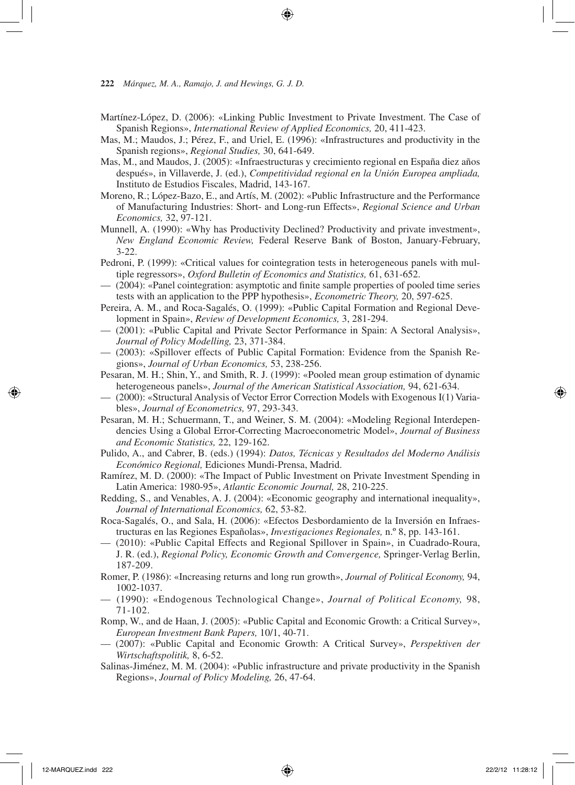- Martínez-López, D. (2006): «Linking Public Investment to Private Investment. The Case of Spanish Regions», *International Review of Applied Economics,* 20, 411-423.
- Mas, M.; Maudos, J.; Pérez, F., and Uriel, E. (1996): «Infrastructures and productivity in the Spanish regions», *Regional Studies,* 30, 641-649.
- Mas, M., and Maudos, J. (2005): «Infraestructuras y crecimiento regional en España diez años después», in Villaverde, J. (ed.), *Competitividad regional en la Unión Europea ampliada,*  Instituto de Estudios Fiscales, Madrid, 143-167.
- Moreno, R.; López-Bazo, E., and Artís, M. (2002): «Public Infrastructure and the Performance of Manufacturing Industries: Short- and Long-run Effects», *Regional Science and Urban Economics,* 32, 97-121.
- Munnell, A. (1990): «Why has Productivity Declined? Productivity and private investment», *New England Economic Review,* Federal Reserve Bank of Boston, January-February, 3-22.
- Pedroni, P. (1999): «Critical values for cointegration tests in heterogeneous panels with multiple regressors», *Oxford Bulletin of Economics and Statistics,* 61, 631-652.
- (2004): «Panel cointegration: asymptotic and finite sample properties of pooled time series tests with an application to the PPP hypothesis», *Econometric Theory,* 20, 597-625.
- Pereira, A. M., and Roca-Sagalés, O. (1999): «Public Capital Formation and Regional Development in Spain», *Review of Development Economics,* 3, 281-294.
- (2001): «Public Capital and Private Sector Performance in Spain: A Sectoral Analysis», *Journal of Policy Modelling,* 23, 371-384.
- (2003): «Spillover effects of Public Capital Formation: Evidence from the Spanish Regions», *Journal of Urban Economics,* 53, 238-256.
- Pesaran, M. H.; Shin, Y., and Smith, R. J. (1999): «Pooled mean group estimation of dynamic heterogeneous panels», *Journal of the American Statistical Association,* 94, 621-634.
- (2000): «Structural Analysis of Vector Error Correction Models with Exogenous I(1) Variables», *Journal of Econometrics,* 97, 293-343.
- Pesaran, M. H.; Schuermann, T., and Weiner, S. M. (2004): «Modeling Regional Interdependencies Using a Global Error-Correcting Macroeconometric Model», *Journal of Business and Economic Statistics,* 22, 129-162.
- Pulido, A., and Cabrer, B. (eds.) (1994): *Datos, Técnicas y Resultados del Moderno Análisis Económico Regional,* Ediciones Mundi-Prensa, Madrid.
- Ramírez, M. D. (2000): «The Impact of Public Investment on Private Investment Spending in Latin America: 1980-95», *Atlantic Economic Journal,* 28, 210-225.
- Redding, S., and Venables, A. J. (2004): «Economic geography and international inequality», *Journal of International Economics,* 62, 53-82.
- Roca-Sagalés, O., and Sala, H. (2006): «Efectos Desbordamiento de la Inversión en Infraestructuras en las Regiones Españolas», *Investigaciones Regionales,* n.º 8, pp. 143-161.
- (2010): «Public Capital Effects and Regional Spillover in Spain», in Cuadrado-Roura, J. R. (ed.), *Regional Policy, Economic Growth and Convergence,* Springer-Verlag Berlin, 187-209.
- Romer, P. (1986): «Increasing returns and long run growth», *Journal of Political Economy,* 94, 1002-1037.
- (1990): «Endogenous Technological Change», *Journal of Political Economy,* 98, 71-102.
- Romp, W., and de Haan, J. (2005): «Public Capital and Economic Growth: a Critical Survey», *European Investment Bank Papers,* 10/1, 40-71.
- (2007): «Public Capital and Economic Growth: A Critical Survey», *Perspektiven der Wirtschaftspolitik,* 8, 6-52.
- Salinas-Jiménez, M. M. (2004): «Public infrastructure and private productivity in the Spanish Regions», *Journal of Policy Modeling,* 26, 47-64.